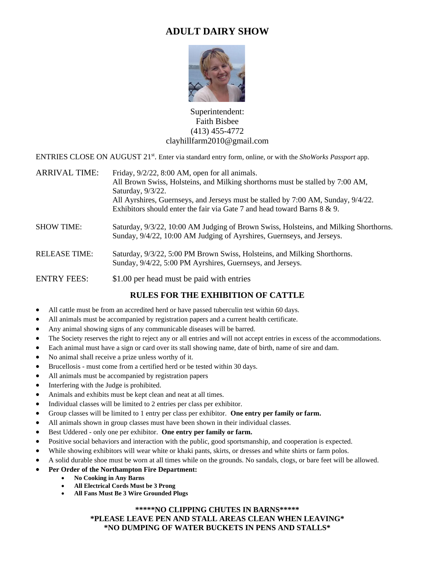## **ADULT DAIRY SHOW**



Superintendent: Faith Bisbee (413) 455-4772 clayhillfarm2010@gmail.com

ENTRIES CLOSE ON AUGUST 21<sup>st</sup>. Enter via standard entry form, online, or with the *ShoWorks Passport* app.

| <b>ARRIVAL TIME:</b> | Friday, 9/2/22, 8:00 AM, open for all animals.                                                                                                                  |  |  |  |  |
|----------------------|-----------------------------------------------------------------------------------------------------------------------------------------------------------------|--|--|--|--|
|                      | All Brown Swiss, Holsteins, and Milking shorthorns must be stalled by 7:00 AM,                                                                                  |  |  |  |  |
|                      | Saturday, 9/3/22.                                                                                                                                               |  |  |  |  |
|                      | All Ayrshires, Guernseys, and Jerseys must be stalled by 7:00 AM, Sunday, 9/4/22.                                                                               |  |  |  |  |
|                      | Exhibitors should enter the fair via Gate 7 and head toward Barns 8 & 9.                                                                                        |  |  |  |  |
| <b>SHOW TIME:</b>    | Saturday, 9/3/22, 10:00 AM Judging of Brown Swiss, Holsteins, and Milking Shorthorns.<br>Sunday, 9/4/22, 10:00 AM Judging of Ayrshires, Guernseys, and Jerseys. |  |  |  |  |
| <b>RELEASE TIME:</b> | Saturday, 9/3/22, 5:00 PM Brown Swiss, Holsteins, and Milking Shorthorns.<br>Sunday, 9/4/22, 5:00 PM Ayrshires, Guernseys, and Jerseys.                         |  |  |  |  |
| ENTENT ELEC.         | $0.1 \Omega$ and $1.1 \Omega$ and $1.1 \Omega$ and $1.1 \Omega$ and $1.1 \Omega$ and $1.1 \Omega$                                                               |  |  |  |  |

ENTRY FEES: \$1.00 per head must be paid with entries

## **RULES FOR THE EXHIBITION OF CATTLE**

- All cattle must be from an accredited herd or have passed tuberculin test within 60 days.
- All animals must be accompanied by registration papers and a current health certificate.
- Any animal showing signs of any communicable diseases will be barred.
- The Society reserves the right to reject any or all entries and will not accept entries in excess of the accommodations.
- Each animal must have a sign or card over its stall showing name, date of birth, name of sire and dam.
- No animal shall receive a prize unless worthy of it.
- Brucellosis must come from a certified herd or be tested within 30 days.
- All animals must be accompanied by registration papers
- Interfering with the Judge is prohibited.
- Animals and exhibits must be kept clean and neat at all times.
- Individual classes will be limited to 2 entries per class per exhibitor.
- Group classes will be limited to 1 entry per class per exhibitor. **One entry per family or farm.**
- All animals shown in group classes must have been shown in their individual classes.
- Best Uddered only one per exhibitor. **One entry per family or farm.**
- Positive social behaviors and interaction with the public, good sportsmanship, and cooperation is expected.
- While showing exhibitors will wear white or khaki pants, skirts, or dresses and white shirts or farm polos.
- A solid durable shoe must be worn at all times while on the grounds. No sandals, clogs, or bare feet will be allowed.
- **Per Order of the Northampton Fire Department:** 
	- **No Cooking in Any Barns**
	- **All Electrical Cords Must be 3 Prong**
	- **All Fans Must Be 3 Wire Grounded Plugs**

## **\*\*\*\*\*NO CLIPPING CHUTES IN BARNS\*\*\*\*\***

## **\*PLEASE LEAVE PEN AND STALL AREAS CLEAN WHEN LEAVING\* \*NO DUMPING OF WATER BUCKETS IN PENS AND STALLS\***